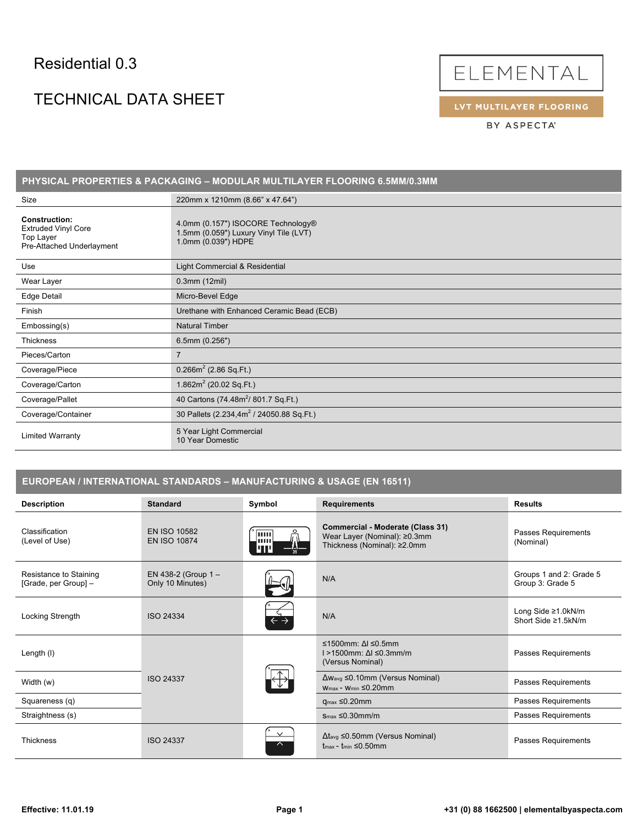### Residential 0.3

# TECHNICAL DATA SHEET



LVT MULTILAYER FLOORING

BY ASPECTA®

| PHYSICAL PROPERTIES & PACKAGING - MODULAR MULTILAYER FLOORING 6.5MM/0.3MM                    |                                                                                                     |  |  |
|----------------------------------------------------------------------------------------------|-----------------------------------------------------------------------------------------------------|--|--|
| Size                                                                                         | 220mm x 1210mm (8.66" x 47.64")                                                                     |  |  |
| <b>Construction:</b><br><b>Extruded Vinyl Core</b><br>Top Layer<br>Pre-Attached Underlayment | 4.0mm (0.157") ISOCORE Technology®<br>1.5mm (0.059") Luxury Vinyl Tile (LVT)<br>1.0mm (0.039") HDPE |  |  |
| Use                                                                                          | Light Commercial & Residential                                                                      |  |  |
| Wear Layer                                                                                   | $0.3$ mm $(12$ mil)                                                                                 |  |  |
| Edge Detail                                                                                  | Micro-Bevel Edge                                                                                    |  |  |
| Finish                                                                                       | Urethane with Enhanced Ceramic Bead (ECB)                                                           |  |  |
| Embossing(s)                                                                                 | <b>Natural Timber</b>                                                                               |  |  |
| <b>Thickness</b>                                                                             | $6.5$ mm $(0.256")$                                                                                 |  |  |
| Pieces/Carton                                                                                | $\overline{7}$                                                                                      |  |  |
| Coverage/Piece                                                                               | $0.266m^2$ (2.86 Sq.Ft.)                                                                            |  |  |
| Coverage/Carton                                                                              | 1.862 $m^2$ (20.02 Sq.Ft.)                                                                          |  |  |
| Coverage/Pallet                                                                              | 40 Cartons (74.48m <sup>2</sup> / 801.7 Sq.Ft.)                                                     |  |  |
| Coverage/Container                                                                           | 30 Pallets (2.234,4m <sup>2</sup> / 24050.88 Sq.Ft.)                                                |  |  |
| <b>Limited Warranty</b>                                                                      | 5 Year Light Commercial<br>10 Year Domestic                                                         |  |  |

#### **EUROPEAN / INTERNATIONAL STANDARDS – MANUFACTURING & USAGE (EN 16511)**

| <b>Description</b>                             | <b>Standard</b>                            | Symbol                     | <b>Requirements</b>                                                                                | <b>Results</b>                              |
|------------------------------------------------|--------------------------------------------|----------------------------|----------------------------------------------------------------------------------------------------|---------------------------------------------|
| Classification<br>(Level of Use)               | <b>EN ISO 10582</b><br><b>EN ISO 10874</b> | <b>Turn</b><br>шш<br>uп    | Commercial - Moderate (Class 31)<br>Wear Layer (Nominal): ≥0.3mm<br>Thickness (Nominal): ≥2.0mm    | Passes Requirements<br>(Nominal)            |
| Resistance to Staining<br>[Grade, per Group] - | EN 438-2 (Group $1 -$<br>Only 10 Minutes)  |                            | N/A                                                                                                | Groups 1 and 2: Grade 5<br>Group 3: Grade 5 |
| Locking Strength                               | <b>ISO 24334</b>                           | $\leftarrow$ $\rightarrow$ | N/A                                                                                                | Long Side ≥1.0kN/m<br>Short Side ≥1.5kN/m   |
| Length (I)                                     |                                            |                            | ≤1500mm: $\Delta$   ≤0.5mm<br>$1 > 1500$ mm: $\Delta l \leq 0.3$ mm/m<br>(Versus Nominal)          | Passes Requirements                         |
| Width (w)                                      | <b>ISO 24337</b>                           |                            | $\Delta w_{avg} \leq 0.10$ mm (Versus Nominal)<br>$W_{\text{max}}$ - Wmin $\leq 0.20$ mm           | Passes Requirements                         |
| Squareness (q)                                 |                                            |                            | $q_{max} \leq 0.20$ mm                                                                             | Passes Requirements                         |
| Straightness (s)                               |                                            |                            | $S_{\text{max}} \leq 0.30$ mm/m                                                                    | Passes Requirements                         |
| <b>Thickness</b>                               | <b>ISO 24337</b>                           | $\checkmark$<br>$\sim$     | $\Delta t_{avg} \leq 0.50$ mm (Versus Nominal)<br>$t_{\text{max}}$ - $t_{\text{min}} \leq 0.50$ mm | Passes Requirements                         |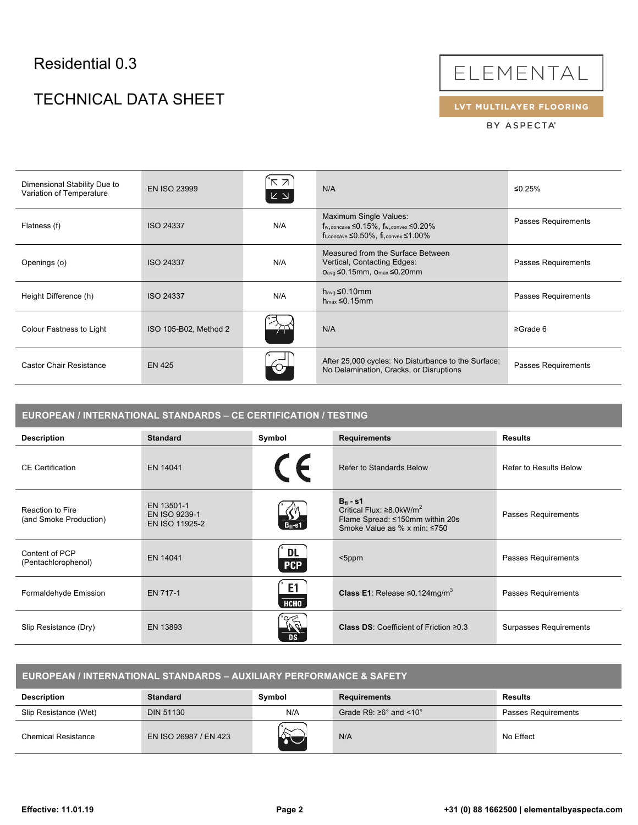# Residential 0.3

# TECHNICAL DATA SHEET



LVT MULTILAYER FLOORING

BY ASPECTA®

| Dimensional Stability Due to<br>Variation of Temperature | <b>EN ISO 23999</b>   | ΚЯ<br>$\mathsf{K}\ \mathsf{N}$ | N/A                                                                                                                                                      | ≤0.25%                     |
|----------------------------------------------------------|-----------------------|--------------------------------|----------------------------------------------------------------------------------------------------------------------------------------------------------|----------------------------|
| Flatness (f)                                             | <b>ISO 24337</b>      | N/A                            | Maximum Single Values:<br>$f_{\rm w, concave} \leq 0.15\%$ , $f_{\rm w, convex} \leq 0.20\%$<br>$f_{1,concave} \leq 0.50\%$ , $f_{1,convex} \leq 1.00\%$ | <b>Passes Requirements</b> |
| Openings (o)                                             | <b>ISO 24337</b>      | N/A                            | Measured from the Surface Between<br>Vertical, Contacting Edges:<br>Oavg ≤0.15mm, Omax ≤0.20mm                                                           | Passes Requirements        |
| Height Difference (h)                                    | <b>ISO 24337</b>      | N/A                            | $h_{avg} \leq 0.10$ mm<br>$h_{max} \leq 0.15$ mm                                                                                                         | Passes Requirements        |
| Colour Fastness to Light                                 | ISO 105-B02, Method 2 |                                | N/A                                                                                                                                                      | $\geq$ Grade 6             |
| <b>Castor Chair Resistance</b>                           | <b>EN 425</b>         |                                | After 25,000 cycles: No Disturbance to the Surface;<br>No Delamination, Cracks, or Disruptions                                                           | Passes Requirements        |

| EUROPEAN / INTERNATIONAL STANDARDS - CE CERTIFICATION / TESTING |                                               |                               |                                                                                                                                     |                               |
|-----------------------------------------------------------------|-----------------------------------------------|-------------------------------|-------------------------------------------------------------------------------------------------------------------------------------|-------------------------------|
| <b>Description</b>                                              | <b>Standard</b>                               | Symbol                        | <b>Requirements</b>                                                                                                                 | <b>Results</b>                |
| <b>CE</b> Certification                                         | EN 14041                                      | $C \in$                       | Refer to Standards Below                                                                                                            | <b>Refer to Results Below</b> |
| Reaction to Fire<br>(and Smoke Production)                      | EN 13501-1<br>EN ISO 9239-1<br>EN ISO 11925-2 | $B_{fl}$ -s1                  | $B_{\rm fl}$ - s1<br>Critical Flux: $\geq 8.0$ kW/m <sup>2</sup><br>Flame Spread: ≤150mm within 20s<br>Smoke Value as % x min: ≤750 | Passes Requirements           |
| Content of PCP<br>(Pentachlorophenol)                           | EN 14041                                      | DL.<br><b>PCP</b>             | $<$ 5ppm                                                                                                                            | Passes Requirements           |
| Formaldehyde Emission                                           | EN 717-1                                      | E <sub>1</sub><br><b>НСНО</b> | <b>Class E1:</b> Release $\leq 0.124$ mg/m <sup>3</sup>                                                                             | Passes Requirements           |
| Slip Resistance (Dry)                                           | EN 13893                                      | RT.<br>DS.                    | <b>Class DS: Coefficient of Friction <math>\geq 0.3</math></b>                                                                      | Surpasses Requirements        |

| , EUROPEAN / INTERNATIONAL STANDARDS – AUXILIARY PERFORMANCE & SAFETY |                       |        |                                           |                     |
|-----------------------------------------------------------------------|-----------------------|--------|-------------------------------------------|---------------------|
| <b>Description</b>                                                    | <b>Standard</b>       | Symbol | <b>Requirements</b>                       | <b>Results</b>      |
| Slip Resistance (Wet)                                                 | <b>DIN 51130</b>      | N/A    | Grade R9: $\geq 6^\circ$ and <10 $^\circ$ | Passes Requirements |
| Chemical Resistance                                                   | EN ISO 26987 / EN 423 |        | N/A                                       | No Effect           |